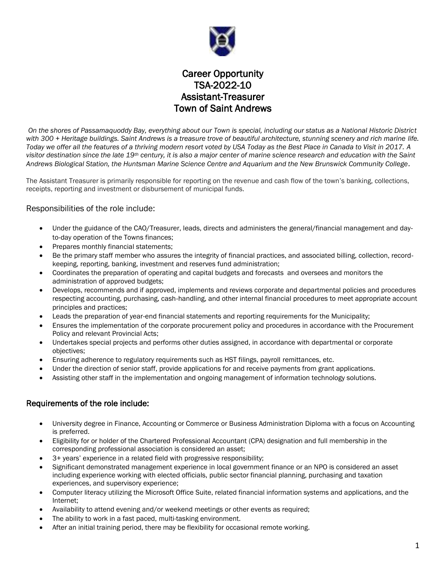

Career Opportunity TSA-2022-10 Assistant-Treasurer Town of Saint Andrews

*On the shores of Passamaquoddy Bay, everything about our Town is special, including our status as a National Historic District with 300 + Heritage buildings. Saint Andrews is a treasure trove of beautiful architecture, stunning scenery and rich marine life. Today we offer all the features of a thriving modern resort voted by USA Today as the Best Place in Canada to Visit in 2017. A visitor destination since the late 19th century, it is also a major center of marine science research and education with the Saint Andrews Biological Station, the Huntsman Marine Science Centre and Aquarium and the New Brunswick Community College.*

The Assistant Treasurer is primarily responsible for reporting on the revenue and cash flow of the town's banking, collections, receipts, reporting and investment or disbursement of municipal funds.

## Responsibilities of the role include:

- Under the guidance of the CAO/Treasurer, leads, directs and administers the general/financial management and day‐ to‐day operation of the Towns finances;
- Prepares monthly financial statements;
- Be the primary staff member who assures the integrity of financial practices, and associated billing, collection, record‐ keeping, reporting, banking, investment and reserves fund administration;
- Coordinates the preparation of operating and capital budgets and forecasts and oversees and monitors the administration of approved budgets;
- Develops, recommends and if approved, implements and reviews corporate and departmental policies and procedures respecting accounting, purchasing, cash‐handling, and other internal financial procedures to meet appropriate account principles and practices;
- Leads the preparation of year-end financial statements and reporting requirements for the Municipality;
- Ensures the implementation of the corporate procurement policy and procedures in accordance with the Procurement Policy and relevant Provincial Acts;
- Undertakes special projects and performs other duties assigned, in accordance with departmental or corporate objectives;
- Ensuring adherence to regulatory requirements such as HST filings, payroll remittances, etc.
- Under the direction of senior staff, provide applications for and receive payments from grant applications.
- Assisting other staff in the implementation and ongoing management of information technology solutions.

## Requirements of the role include:

- University degree in Finance, Accounting or Commerce or Business Administration Diploma with a focus on Accounting is preferred.
- Eligibility for or holder of the Chartered Professional Accountant (CPA) designation and full membership in the corresponding professional association is considered an asset;
- 3+ years' experience in a related field with progressive responsibility;
- Significant demonstrated management experience in local government finance or an NPO is considered an asset including experience working with elected officials, public sector financial planning, purchasing and taxation experiences, and supervisory experience;
- Computer literacy utilizing the Microsoft Office Suite, related financial information systems and applications, and the Internet;
- Availability to attend evening and/or weekend meetings or other events as required;
- The ability to work in a fast paced, multi-tasking environment.
- After an initial training period, there may be flexibility for occasional remote working.